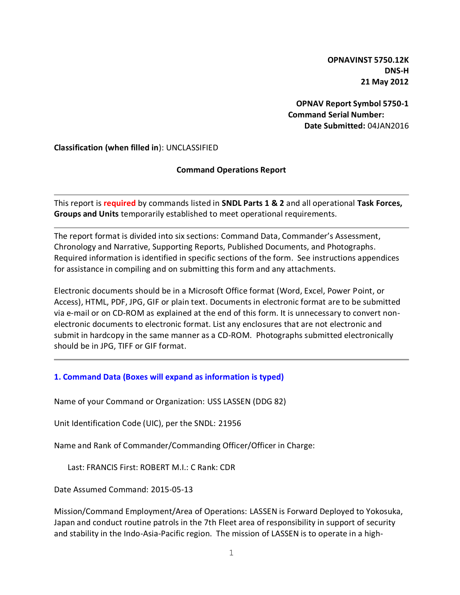**OPNAVINST 5750.12K DNS-H 21 May 2012**

**OPNAV Report Symbol 5750-1 Command Serial Number: Date Submitted:** 04JAN2016

**Classification (when filled in**): UNCLASSIFIED

#### **Command Operations Report**

This report is **required** by commands listed in **SNDL Parts 1 & 2** and all operational **Task Forces, Groups and Units** temporarily established to meet operational requirements.

The report format is divided into six sections: Command Data, Commander's Assessment, Chronology and Narrative, Supporting Reports, Published Documents, and Photographs. Required information is identified in specific sections of the form. See instructions appendices for assistance in compiling and on submitting this form and any attachments.

Electronic documents should be in a Microsoft Office format (Word, Excel, Power Point, or Access), HTML, PDF, JPG, GIF or plain text. Documents in electronic format are to be submitted via e-mail or on CD-ROM as explained at the end of this form. It is unnecessary to convert nonelectronic documents to electronic format. List any enclosures that are not electronic and submit in hardcopy in the same manner as a CD-ROM. Photographs submitted electronically should be in JPG, TIFF or GIF format.

## **1. Command Data (Boxes will expand as information is typed)**

Name of your Command or Organization: USS LASSEN (DDG 82)

Unit Identification Code (UIC), per the SNDL: 21956

Name and Rank of Commander/Commanding Officer/Officer in Charge:

Last: FRANCIS First: ROBERT M.I.: C Rank: CDR

Date Assumed Command: 2015-05-13

Mission/Command Employment/Area of Operations: LASSEN is Forward Deployed to Yokosuka, Japan and conduct routine patrols in the 7th Fleet area of responsibility in support of security and stability in the Indo-Asia-Pacific region. The mission of LASSEN is to operate in a high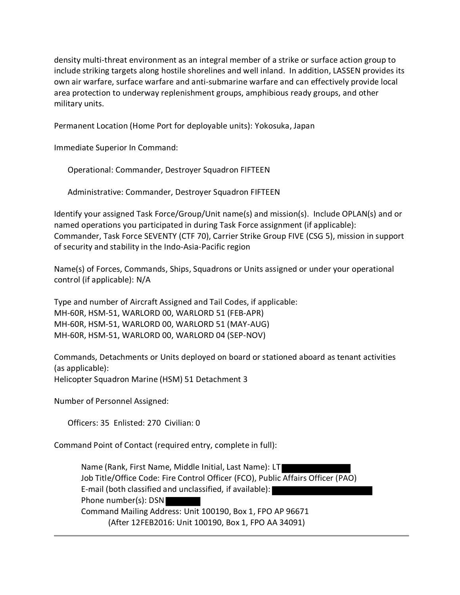density multi-threat environment as an integral member of a strike or surface action group to include striking targets along hostile shorelines and well inland. In addition, LASSEN provides its own air warfare, surface warfare and anti-submarine warfare and can effectively provide local area protection to underway replenishment groups, amphibious ready groups, and other military units.

Permanent Location (Home Port for deployable units): Yokosuka, Japan

Immediate Superior In Command:

Operational: Commander, Destroyer Squadron FIFTEEN

Administrative: Commander, Destroyer Squadron FIFTEEN

Identify your assigned Task Force/Group/Unit name(s) and mission(s). Include OPLAN(s) and or named operations you participated in during Task Force assignment (if applicable): Commander, Task Force SEVENTY (CTF 70), Carrier Strike Group FIVE (CSG 5), mission in support of security and stability in the Indo-Asia-Pacific region

Name(s) of Forces, Commands, Ships, Squadrons or Units assigned or under your operational control (if applicable): N/A

Type and number of Aircraft Assigned and Tail Codes, if applicable: MH-60R, HSM-51, WARLORD 00, WARLORD 51 (FEB-APR) MH-60R, HSM-51, WARLORD 00, WARLORD 51 (MAY-AUG) MH-60R, HSM-51, WARLORD 00, WARLORD 04 (SEP-NOV)

Commands, Detachments or Units deployed on board or stationed aboard as tenant activities (as applicable): Helicopter Squadron Marine (HSM) 51 Detachment 3

Number of Personnel Assigned:

Officers: 35 Enlisted: 270 Civilian: 0

Command Point of Contact (required entry, complete in full):

Name (Rank, First Name, Middle Initial, Last Name): LT Job Title/Office Code: Fire Control Officer (FCO), Public Affairs Officer (PAO) E-mail (both classified and unclassified, if available): Phone number(s): DSN Command Mailing Address: Unit 100190, Box 1, FPO AP 96671 (After 12FEB2016: Unit 100190, Box 1, FPO AA 34091)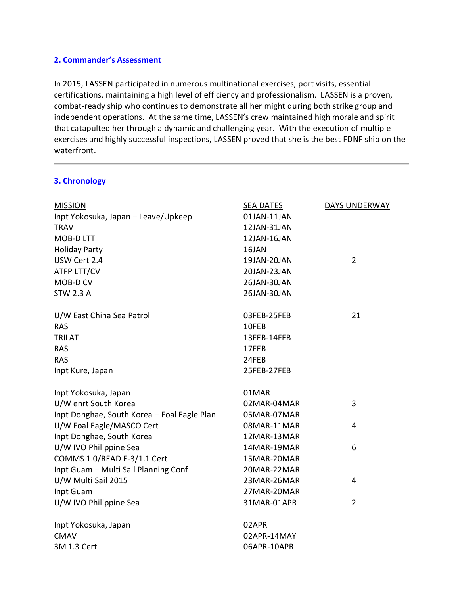#### **2. Commander's Assessment**

In 2015, LASSEN participated in numerous multinational exercises, port visits, essential certifications, maintaining a high level of efficiency and professionalism. LASSEN is a proven, combat-ready ship who continues to demonstrate all her might during both strike group and independent operations. At the same time, LASSEN's crew maintained high morale and spirit that catapulted her through a dynamic and challenging year. With the execution of multiple exercises and highly successful inspections, LASSEN proved that she is the best FDNF ship on the waterfront.

## **3. Chronology**

| <b>MISSION</b>                              | <b>SEA DATES</b> | DAYS UNDERWAY  |
|---------------------------------------------|------------------|----------------|
| Inpt Yokosuka, Japan - Leave/Upkeep         | 01JAN-11JAN      |                |
| <b>TRAV</b>                                 | 12JAN-31JAN      |                |
| <b>MOB-DLTT</b>                             | 12JAN-16JAN      |                |
| <b>Holiday Party</b>                        | 16JAN            |                |
| USW Cert 2.4                                | 19JAN-20JAN      | $\overline{2}$ |
| ATFP LTT/CV                                 | 20JAN-23JAN      |                |
| MOB-D CV                                    | 26JAN-30JAN      |                |
| <b>STW 2.3 A</b>                            | 26JAN-30JAN      |                |
| U/W East China Sea Patrol                   | 03FEB-25FEB      | 21             |
| <b>RAS</b>                                  | 10FEB            |                |
| <b>TRILAT</b>                               | 13FEB-14FEB      |                |
| <b>RAS</b>                                  | 17FEB            |                |
| <b>RAS</b>                                  | 24FEB            |                |
| Inpt Kure, Japan                            | 25FEB-27FEB      |                |
| Inpt Yokosuka, Japan                        | 01MAR            |                |
| U/W enrt South Korea                        | 02MAR-04MAR      | 3              |
| Inpt Donghae, South Korea - Foal Eagle Plan | 05MAR-07MAR      |                |
| U/W Foal Eagle/MASCO Cert                   | 08MAR-11MAR      | $\overline{4}$ |
| Inpt Donghae, South Korea                   | 12MAR-13MAR      |                |
| U/W IVO Philippine Sea                      | 14MAR-19MAR      | 6              |
| COMMS 1.0/READ E-3/1.1 Cert                 | 15MAR-20MAR      |                |
| Inpt Guam - Multi Sail Planning Conf        | 20MAR-22MAR      |                |
| U/W Multi Sail 2015                         | 23MAR-26MAR      | 4              |
| Inpt Guam                                   | 27MAR-20MAR      |                |
| U/W IVO Philippine Sea                      | 31MAR-01APR      | $\overline{2}$ |
| Inpt Yokosuka, Japan                        | 02APR            |                |
| <b>CMAV</b>                                 | 02APR-14MAY      |                |
| 3M 1.3 Cert                                 | 06APR-10APR      |                |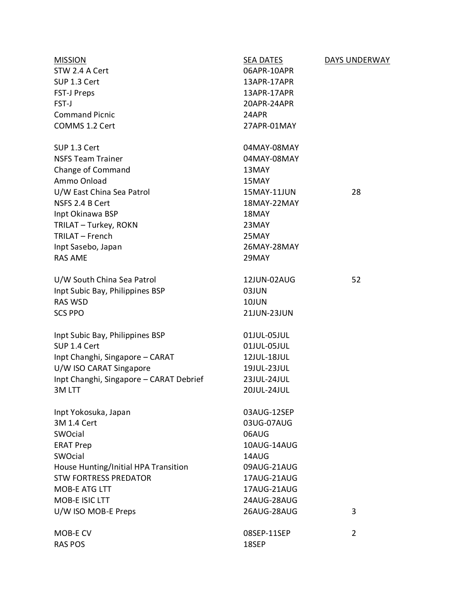| <b>MISSION</b>                          | SEA DATES   | DAYS UNDERWAY  |
|-----------------------------------------|-------------|----------------|
| STW 2.4 A Cert                          | 06APR-10APR |                |
| SUP 1.3 Cert                            | 13APR-17APR |                |
| <b>FST-J Preps</b>                      | 13APR-17APR |                |
| FST-J                                   | 20APR-24APR |                |
| <b>Command Picnic</b>                   | 24APR       |                |
| COMMS 1.2 Cert                          | 27APR-01MAY |                |
| SUP 1.3 Cert                            | 04MAY-08MAY |                |
| <b>NSFS Team Trainer</b>                | 04MAY-08MAY |                |
| Change of Command                       | 13MAY       |                |
| Ammo Onload                             | 15MAY       |                |
| U/W East China Sea Patrol               | 15MAY-11JUN | 28             |
| NSFS 2.4 B Cert                         | 18MAY-22MAY |                |
| Inpt Okinawa BSP                        | 18MAY       |                |
| TRILAT - Turkey, ROKN                   | 23MAY       |                |
| TRILAT - French                         | 25MAY       |                |
| Inpt Sasebo, Japan                      | 26MAY-28MAY |                |
| <b>RAS AME</b>                          | 29MAY       |                |
| U/W South China Sea Patrol              | 12JUN-02AUG | 52             |
| Inpt Subic Bay, Philippines BSP         | 03JUN       |                |
| <b>RAS WSD</b>                          | 10JUN       |                |
| <b>SCS PPO</b>                          | 21JUN-23JUN |                |
| Inpt Subic Bay, Philippines BSP         | 01JUL-05JUL |                |
| SUP 1.4 Cert                            | 01JUL-05JUL |                |
| Inpt Changhi, Singapore - CARAT         | 12JUL-18JUL |                |
| U/W ISO CARAT Singapore                 | 19JUL-23JUL |                |
| Inpt Changhi, Singapore - CARAT Debrief | 23JUL-24JUL |                |
| 3M LTT                                  | 20JUL-24JUL |                |
| Inpt Yokosuka, Japan                    | 03AUG-12SEP |                |
| 3M 1.4 Cert                             | 03UG-07AUG  |                |
| SWOcial                                 | 06AUG       |                |
| <b>ERAT Prep</b>                        | 10AUG-14AUG |                |
| SWOcial                                 | 14AUG       |                |
| House Hunting/Initial HPA Transition    | 09AUG-21AUG |                |
| <b>STW FORTRESS PREDATOR</b>            | 17AUG-21AUG |                |
| <b>MOB-E ATG LTT</b>                    | 17AUG-21AUG |                |
| MOB-E ISIC LTT                          | 24AUG-28AUG |                |
| U/W ISO MOB-E Preps                     | 26AUG-28AUG | 3              |
| MOB-E CV                                | 08SEP-11SEP | $\overline{2}$ |
| <b>RAS POS</b>                          | 18SEP       |                |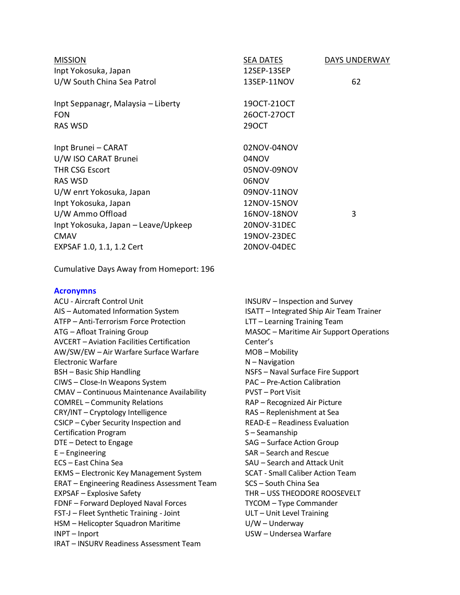| <b>MISSION</b>                                                           | SEA DATES                                                          | DAYS UNDERWAY |
|--------------------------------------------------------------------------|--------------------------------------------------------------------|---------------|
| Inpt Yokosuka, Japan                                                     | 12SEP-13SEP                                                        |               |
| U/W South China Sea Patrol                                               | 13SEP-11NOV                                                        | 62            |
| Inpt Seppanagr, Malaysia - Liberty                                       | 190CT-210CT                                                        |               |
| <b>FON</b>                                                               | 260CT-270CT                                                        |               |
| <b>RAS WSD</b>                                                           | 290CT                                                              |               |
| Inpt Brunei - CARAT                                                      | 02NOV-04NOV                                                        |               |
| U/W ISO CARAT Brunei                                                     | 04NOV                                                              |               |
| <b>THR CSG Escort</b>                                                    | 05NOV-09NOV                                                        |               |
| <b>RAS WSD</b>                                                           | 06NOV                                                              |               |
| U/W enrt Yokosuka, Japan                                                 | 09NOV-11NOV                                                        |               |
| Inpt Yokosuka, Japan                                                     | 12NOV-15NOV                                                        |               |
| U/W Ammo Offload                                                         | 16NOV-18NOV                                                        | 3             |
| Inpt Yokosuka, Japan - Leave/Upkeep                                      | 20NOV-31DEC                                                        |               |
| <b>CMAV</b>                                                              | 19NOV-23DEC                                                        |               |
| EXPSAF 1.0, 1.1, 1.2 Cert                                                | 20NOV-04DEC                                                        |               |
| Cumulative Days Away from Homeport: 196                                  |                                                                    |               |
| <b>Acronymns</b>                                                         |                                                                    |               |
| <b>ACU - Aircraft Control Unit</b>                                       | <b>INSURV</b> – Inspection and Survey                              |               |
| AIS - Automated Information System                                       | ISATT - Integrated Ship Air Team Trainer                           |               |
| ATFP - Anti-Terrorism Force Protection                                   | LTT - Learning Training Team                                       |               |
| ATG - Afloat Training Group                                              | MASOC - Maritime Air Support Operations                            |               |
| <b>AVCERT - Aviation Facilities Certification</b>                        | Center's                                                           |               |
| AW/SW/EW - Air Warfare Surface Warfare                                   | MOB-Mobility                                                       |               |
| <b>Electronic Warfare</b>                                                | $N -$ Navigation                                                   |               |
| <b>BSH</b> - Basic Ship Handling                                         | NSFS - Naval Surface Fire Support                                  |               |
| CIWS - Close-In Weapons System                                           | <b>PAC - Pre-Action Calibration</b>                                |               |
| <b>CMAV</b> – Continuous Maintenance Availability                        | <b>PVST – Port Visit</b>                                           |               |
| <b>COMREL</b> - Community Relations<br>CRY/INT - Cryptology Intelligence | RAP - Recognized Air Picture                                       |               |
| CSICP - Cyber Security Inspection and                                    | RAS - Replenishment at Sea<br><b>READ-E - Readiness Evaluation</b> |               |
| <b>Certification Program</b>                                             | S-Seamanship                                                       |               |
| DTE - Detect to Engage                                                   | SAG - Surface Action Group                                         |               |
| $E$ – Engineering                                                        | SAR - Search and Rescue                                            |               |
| ECS - East China Sea                                                     | SAU - Search and Attack Unit                                       |               |
| <b>EKMS</b> - Electronic Key Management System                           | <b>SCAT - Small Caliber Action Team</b>                            |               |
| <b>ERAT</b> - Engineering Readiness Assessment Team                      | SCS - South China Sea                                              |               |
| <b>EXPSAF - Explosive Safety</b>                                         | THR - USS THEODORE ROOSEVELT                                       |               |
| FDNF - Forward Deployed Naval Forces                                     | TYCOM - Type Commander                                             |               |
| FST-J - Fleet Synthetic Training - Joint                                 | ULT - Unit Level Training                                          |               |
| HSM - Helicopter Squadron Maritime                                       | $U/W -$ Underway                                                   |               |
| INPT-Inport                                                              | USW - Undersea Warfare                                             |               |
| <b>IRAT - INSURV Readiness Assessment Team</b>                           |                                                                    |               |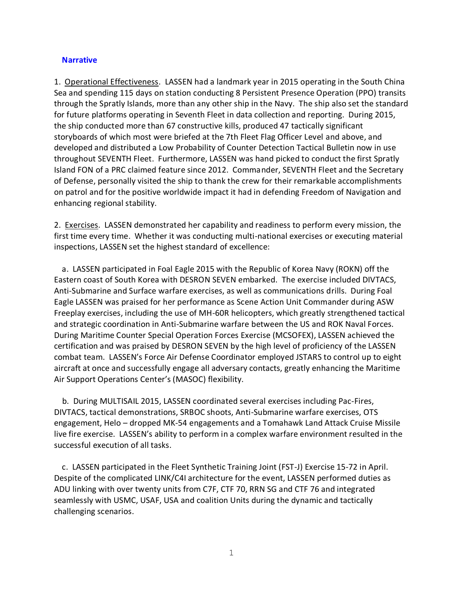#### **Narrative**

1. Operational Effectiveness. LASSEN had a landmark year in 2015 operating in the South China Sea and spending 115 days on station conducting 8 Persistent Presence Operation (PPO) transits through the Spratly Islands, more than any other ship in the Navy. The ship also set the standard for future platforms operating in Seventh Fleet in data collection and reporting. During 2015, the ship conducted more than 67 constructive kills, produced 47 tactically significant storyboards of which most were briefed at the 7th Fleet Flag Officer Level and above, and developed and distributed a Low Probability of Counter Detection Tactical Bulletin now in use throughout SEVENTH Fleet. Furthermore, LASSEN was hand picked to conduct the first Spratly Island FON of a PRC claimed feature since 2012. Commander, SEVENTH Fleet and the Secretary of Defense, personally visited the ship to thank the crew for their remarkable accomplishments on patrol and for the positive worldwide impact it had in defending Freedom of Navigation and enhancing regional stability.

2. Exercises. LASSEN demonstrated her capability and readiness to perform every mission, the first time every time. Whether it was conducting multi-national exercises or executing material inspections, LASSEN set the highest standard of excellence:

 a. LASSEN participated in Foal Eagle 2015 with the Republic of Korea Navy (ROKN) off the Eastern coast of South Korea with DESRON SEVEN embarked. The exercise included DIVTACS, Anti-Submarine and Surface warfare exercises, as well as communications drills. During Foal Eagle LASSEN was praised for her performance as Scene Action Unit Commander during ASW Freeplay exercises, including the use of MH-60R helicopters, which greatly strengthened tactical and strategic coordination in Anti-Submarine warfare between the US and ROK Naval Forces. During Maritime Counter Special Operation Forces Exercise (MCSOFEX), LASSEN achieved the certification and was praised by DESRON SEVEN by the high level of proficiency of the LASSEN combat team. LASSEN's Force Air Defense Coordinator employed JSTARS to control up to eight aircraft at once and successfully engage all adversary contacts, greatly enhancing the Maritime Air Support Operations Center's (MASOC) flexibility.

 b. During MULTISAIL 2015, LASSEN coordinated several exercises including Pac-Fires, DIVTACS, tactical demonstrations, SRBOC shoots, Anti-Submarine warfare exercises, OTS engagement, Helo – dropped MK-54 engagements and a Tomahawk Land Attack Cruise Missile live fire exercise. LASSEN's ability to perform in a complex warfare environment resulted in the successful execution of all tasks.

 c. LASSEN participated in the Fleet Synthetic Training Joint (FST-J) Exercise 15-72 in April. Despite of the complicated LINK/C4I architecture for the event, LASSEN performed duties as ADU linking with over twenty units from C7F, CTF 70, RRN SG and CTF 76 and integrated seamlessly with USMC, USAF, USA and coalition Units during the dynamic and tactically challenging scenarios.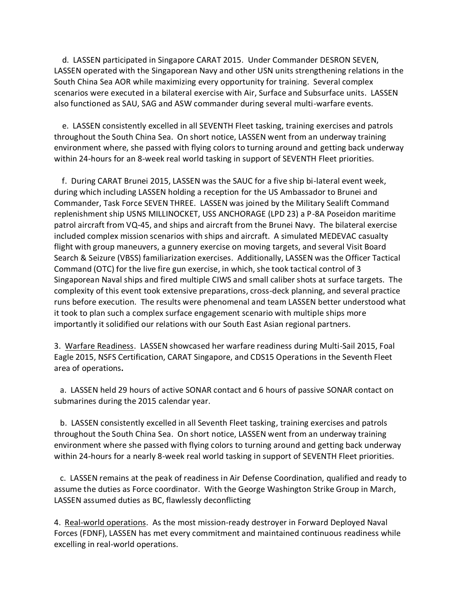d. LASSEN participated in Singapore CARAT 2015. Under Commander DESRON SEVEN, LASSEN operated with the Singaporean Navy and other USN units strengthening relations in the South China Sea AOR while maximizing every opportunity for training. Several complex scenarios were executed in a bilateral exercise with Air, Surface and Subsurface units. LASSEN also functioned as SAU, SAG and ASW commander during several multi-warfare events.

 e. LASSEN consistently excelled in all SEVENTH Fleet tasking, training exercises and patrols throughout the South China Sea. On short notice, LASSEN went from an underway training environment where, she passed with flying colors to turning around and getting back underway within 24-hours for an 8-week real world tasking in support of SEVENTH Fleet priorities.

 f. During CARAT Brunei 2015, LASSEN was the SAUC for a five ship bi-lateral event week, during which including LASSEN holding a reception for the US Ambassador to Brunei and Commander, Task Force SEVEN THREE. LASSEN was joined by the Military Sealift Command replenishment ship USNS MILLINOCKET, USS ANCHORAGE (LPD 23) a P-8A Poseidon maritime patrol aircraft from VQ-45, and ships and aircraft from the Brunei Navy. The bilateral exercise included complex mission scenarios with ships and aircraft. A simulated MEDEVAC casualty flight with group maneuvers, a gunnery exercise on moving targets, and several Visit Board Search & Seizure (VBSS) familiarization exercises. Additionally, LASSEN was the Officer Tactical Command (OTC) for the live fire gun exercise, in which, she took tactical control of 3 Singaporean Naval ships and fired multiple CIWS and small caliber shots at surface targets. The complexity of this event took extensive preparations, cross-deck planning, and several practice runs before execution. The results were phenomenal and team LASSEN better understood what it took to plan such a complex surface engagement scenario with multiple ships more importantly it solidified our relations with our South East Asian regional partners.

3. Warfare Readiness. LASSEN showcased her warfare readiness during Multi-Sail 2015, Foal Eagle 2015, NSFS Certification, CARAT Singapore, and CDS15 Operations in the Seventh Fleet area of operations**.** 

 a. LASSEN held 29 hours of active SONAR contact and 6 hours of passive SONAR contact on submarines during the 2015 calendar year.

 b. LASSEN consistently excelled in all Seventh Fleet tasking, training exercises and patrols throughout the South China Sea. On short notice, LASSEN went from an underway training environment where she passed with flying colors to turning around and getting back underway within 24-hours for a nearly 8-week real world tasking in support of SEVENTH Fleet priorities.

 c. LASSEN remains at the peak of readiness in Air Defense Coordination, qualified and ready to assume the duties as Force coordinator. With the George Washington Strike Group in March, LASSEN assumed duties as BC, flawlessly deconflicting

4. Real-world operations. As the most mission-ready destroyer in Forward Deployed Naval Forces (FDNF), LASSEN has met every commitment and maintained continuous readiness while excelling in real-world operations.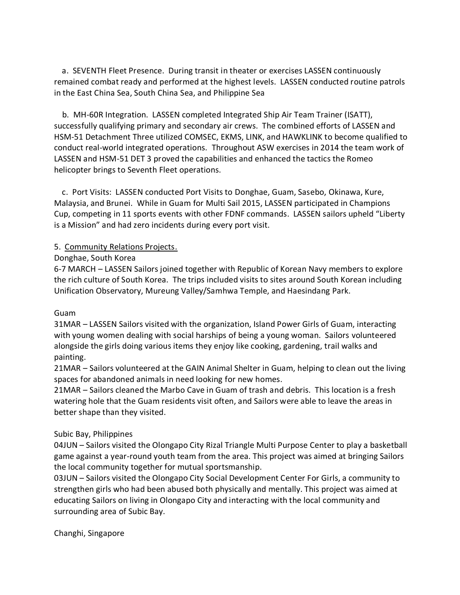a. SEVENTH Fleet Presence. During transit in theater or exercises LASSEN continuously remained combat ready and performed at the highest levels. LASSEN conducted routine patrols in the East China Sea, South China Sea, and Philippine Sea

 b. MH-60R Integration. LASSEN completed Integrated Ship Air Team Trainer (ISATT), successfully qualifying primary and secondary air crews. The combined efforts of LASSEN and HSM-51 Detachment Three utilized COMSEC, EKMS, LINK, and HAWKLINK to become qualified to conduct real-world integrated operations. Throughout ASW exercises in 2014 the team work of LASSEN and HSM-51 DET 3 proved the capabilities and enhanced the tactics the Romeo helicopter brings to Seventh Fleet operations.

 c. Port Visits: LASSEN conducted Port Visits to Donghae, Guam, Sasebo, Okinawa, Kure, Malaysia, and Brunei. While in Guam for Multi Sail 2015, LASSEN participated in Champions Cup, competing in 11 sports events with other FDNF commands. LASSEN sailors upheld "Liberty is a Mission" and had zero incidents during every port visit.

# 5. Community Relations Projects.

# Donghae, South Korea

6-7 MARCH – LASSEN Sailors joined together with Republic of Korean Navy members to explore the rich culture of South Korea. The trips included visits to sites around South Korean including Unification Observatory, Mureung Valley/Samhwa Temple, and Haesindang Park.

## Guam

31MAR – LASSEN Sailors visited with the organization, Island Power Girls of Guam, interacting with young women dealing with social harships of being a young woman. Sailors volunteered alongside the girls doing various items they enjoy like cooking, gardening, trail walks and painting.

21MAR – Sailors volunteered at the GAIN Animal Shelter in Guam, helping to clean out the living spaces for abandoned animals in need looking for new homes.

21MAR – Sailors cleaned the Marbo Cave in Guam of trash and debris. This location is a fresh watering hole that the Guam residents visit often, and Sailors were able to leave the areas in better shape than they visited.

## Subic Bay, Philippines

04JUN – Sailors visited the Olongapo City Rizal Triangle Multi Purpose Center to play a basketball game against a year-round youth team from the area. This project was aimed at bringing Sailors the local community together for mutual sportsmanship.

03JUN – Sailors visited the Olongapo City Social Development Center For Girls, a community to strengthen girls who had been abused both physically and mentally. This project was aimed at educating Sailors on living in Olongapo City and interacting with the local community and surrounding area of Subic Bay.

Changhi, Singapore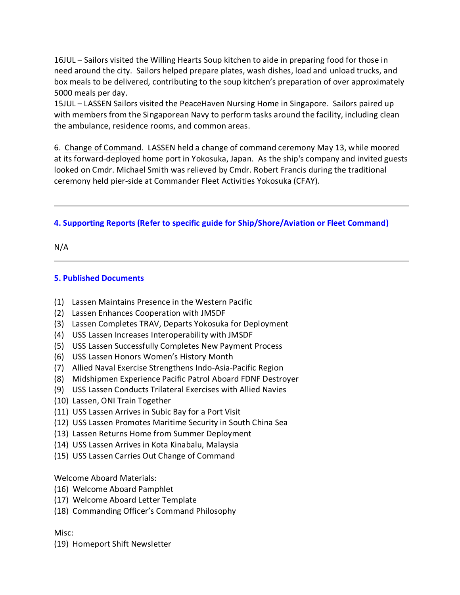16JUL – Sailors visited the Willing Hearts Soup kitchen to aide in preparing food for those in need around the city. Sailors helped prepare plates, wash dishes, load and unload trucks, and box meals to be delivered, contributing to the soup kitchen's preparation of over approximately 5000 meals per day.

15JUL – LASSEN Sailors visited the PeaceHaven Nursing Home in Singapore. Sailors paired up with members from the Singaporean Navy to perform tasks around the facility, including clean the ambulance, residence rooms, and common areas.

6. Change of Command. LASSEN held a change of command ceremony May 13, while moored at its forward-deployed home port in Yokosuka, Japan. As the ship's company and invited guests looked on Cmdr. Michael Smith was relieved by Cmdr. Robert Francis during the traditional ceremony held pier-side at Commander Fleet Activities Yokosuka (CFAY).

# **4. Supporting Reports (Refer to specific guide for Ship/Shore/Aviation or Fleet Command)**

N/A

# **5. Published Documents**

- (1) Lassen Maintains Presence in the Western Pacific
- (2) Lassen Enhances Cooperation with JMSDF
- (3) Lassen Completes TRAV, Departs Yokosuka for Deployment
- (4) USS Lassen Increases Interoperability with JMSDF
- (5) USS Lassen Successfully Completes New Payment Process
- (6) USS Lassen Honors Women's History Month
- (7) Allied Naval Exercise Strengthens Indo-Asia-Pacific Region
- (8) Midshipmen Experience Pacific Patrol Aboard FDNF Destroyer
- (9) USS Lassen Conducts Trilateral Exercises with Allied Navies
- (10) Lassen, ONI Train Together
- (11) USS Lassen Arrives in Subic Bay for a Port Visit
- (12) USS Lassen Promotes Maritime Security in South China Sea
- (13) Lassen Returns Home from Summer Deployment
- (14) USS Lassen Arrives in Kota Kinabalu, Malaysia
- (15) USS Lassen Carries Out Change of Command

Welcome Aboard Materials:

- (16) Welcome Aboard Pamphlet
- (17) Welcome Aboard Letter Template
- (18) Commanding Officer's Command Philosophy

Misc:

(19) Homeport Shift Newsletter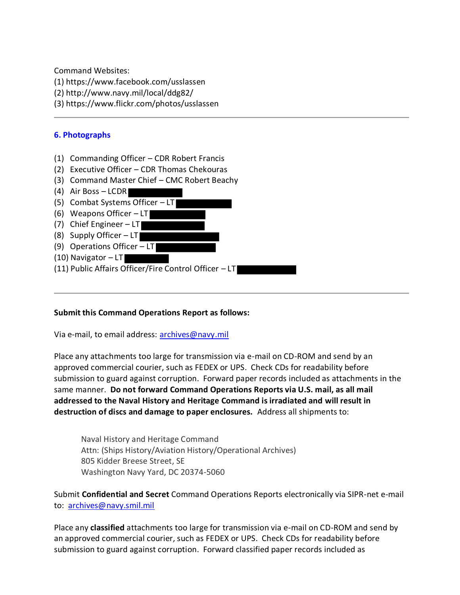Command Websites:

- (1) https://www.facebook.com/usslassen
- (2) http://www.navy.mil/local/ddg82/
- (3) https://www.flickr.com/photos/usslassen

## **6. Photographs**

- (1) Commanding Officer CDR Robert Francis
- (2) Executive Officer CDR Thomas Chekouras
- (3) Command Master Chief CMC Robert Beachy
- (4) Air Boss LCDR
- (5) Combat Systems Officer LT
- (6) Weapons Officer  $-LT$
- (7) Chief Engineer LT
- (8) Supply Officer LT
- (9) Operations Officer LT
- (10) Navigator LT
- (11) Public Affairs Officer/Fire Control Officer LT

## **Submit this Command Operations Report as follows:**

Via e-mail, to email address: archives@navy.mil

Place any attachments too large for transmission via e-mail on CD-ROM and send by an approved commercial courier, such as FEDEX or UPS. Check CDs for readability before submission to guard against corruption. Forward paper records included as attachments in the same manner. **Do not forward Command Operations Reports via U.S. mail, as all mail addressed to the Naval History and Heritage Command is irradiated and will result in destruction of discs and damage to paper enclosures.** Address all shipments to:

Naval History and Heritage Command Attn: (Ships History/Aviation History/Operational Archives) 805 Kidder Breese Street, SE Washington Navy Yard, DC 20374-5060

Submit **Confidential and Secret** Command Operations Reports electronically via SIPR-net e-mail to: archives@navy.smil.mil

Place any **classified** attachments too large for transmission via e-mail on CD-ROM and send by an approved commercial courier, such as FEDEX or UPS. Check CDs for readability before submission to guard against corruption. Forward classified paper records included as